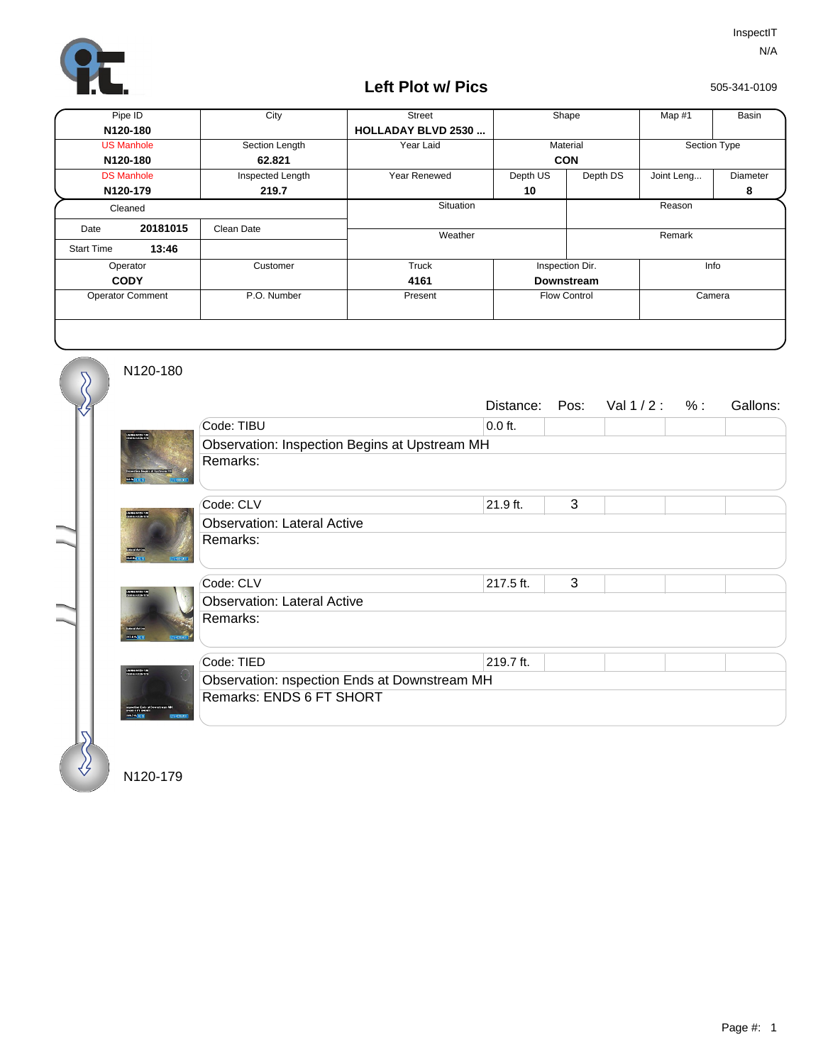

## **Left Plot w/ Pics**

505-341-0109

| Pipe ID                 |          | City             | <b>Street</b>              | Shape               |          | Map #1       | Basin    |
|-------------------------|----------|------------------|----------------------------|---------------------|----------|--------------|----------|
| N120-180                |          |                  | <b>HOLLADAY BLVD 2530 </b> |                     |          |              |          |
| <b>US Manhole</b>       |          | Section Length   | Year Laid                  | Material            |          | Section Type |          |
| N120-180                |          | 62.821           |                            | <b>CON</b>          |          |              |          |
| <b>DS Manhole</b>       |          | Inspected Length | <b>Year Renewed</b>        | Depth US            | Depth DS | Joint Leng   | Diameter |
| N120-179                |          | 219.7            |                            | 10                  |          |              | 8        |
| Cleaned                 |          |                  | Situation                  |                     |          | Reason       |          |
| Date                    | 20181015 | Clean Date       | Weather                    |                     |          | Remark       |          |
| <b>Start Time</b>       | 13:46    |                  |                            |                     |          |              |          |
| Operator                |          | Customer         | Truck                      | Inspection Dir.     |          | Info         |          |
| <b>CODY</b>             |          |                  | 4161                       | <b>Downstream</b>   |          |              |          |
| <b>Operator Comment</b> |          | P.O. Number      | Present                    | <b>Flow Control</b> |          | Camera       |          |
|                         |          |                  |                            |                     |          |              |          |

N120-180

 $\overline{\mathcal{S}}$ 

|                                                         |                                               | Distance: | Pos: | Val $1/2: %$ |  | Gallons: |  |  |  |
|---------------------------------------------------------|-----------------------------------------------|-----------|------|--------------|--|----------|--|--|--|
| ,<br>25 Mei 16 Mei 17 Mei 17<br>25 Mei 16 Mei 16 Mei 17 | Code: TIBU                                    | $0.0$ ft. |      |              |  |          |  |  |  |
|                                                         | Observation: Inspection Begins at Upstream MH |           |      |              |  |          |  |  |  |
|                                                         | Remarks:                                      |           |      |              |  |          |  |  |  |
|                                                         | Code: CLV                                     | 21.9 ft.  | 3    |              |  |          |  |  |  |
|                                                         | <b>Observation: Lateral Active</b>            |           |      |              |  |          |  |  |  |
|                                                         | Remarks:                                      |           |      |              |  |          |  |  |  |
| arsa <sub>.11</sub>                                     | Code: CLV                                     | 217.5 ft. | 3    |              |  |          |  |  |  |
|                                                         | <b>Observation: Lateral Active</b>            |           |      |              |  |          |  |  |  |
|                                                         | Remarks:                                      |           |      |              |  |          |  |  |  |
|                                                         | Code: TIED                                    | 219.7 ft. |      |              |  |          |  |  |  |
| .<br>25 Mei 1945 1947<br>25 Mei 1945 1947               | Observation: nspection Ends at Downstream MH  |           |      |              |  |          |  |  |  |
| 111717-007                                              | Remarks: ENDS 6 FT SHORT                      |           |      |              |  |          |  |  |  |
|                                                         |                                               |           |      |              |  |          |  |  |  |

N120-179

∛